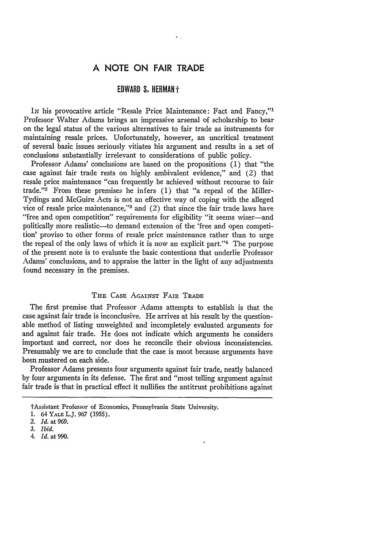# **A NOTE ON FAIR TRADE**

 $\bullet$  .

## EDWARD **S. HERMAN'-"**

**IN** his provocative article "Resale Price Maintenance: Fact and Fancy,"' Professor Walter Adams brings an impressive arsenal of scholarship to bear on the legal status of the various alternatives to fair trade as instruments for maintaining resale prices. Unfortunately, however, an uncritical treatment of several basic issues seriously vitiates his argument and results in a set of conclusions substantially irrelevant to considerations of public policy.

Professor Adams' conclusions are based on the propositions (1) that "the case against fair trade rests on highly ambivalent evidence," and (2) that resale price maintenance "can frequently be achieved without recourse to fair trade."<sup>2</sup> From these premises he infers  $(1)$  that "a repeal of the Miller-Tydings and McGuire Acts is not an effective way of coping with the alleged vice of resale price maintenance,"<sup>3</sup> and (2) that since the fair trade laws have "free and open competition" requirements for eligibility "it seems wiser—and politically more realistic-to demand extension of the 'free and open competition' proviso to other forms of resale price maintenance rather than to urge the repeal of the only laws of which it is now an explicit part."<sup>4</sup> The purpose of the present note is to evaluate the basic contentions that underlie Professor Adams' conclusions, and to appraise the latter in the light of any adjustments found necessary in the premises.

## THE **CASE AGAINST** FAIR TRADE

The first premise that Professor Adams attempts to establish is that the case against fair trade is inconclusive. He arrives at his result by the questionable method of listing unweighted and incompletely evaluated arguments for and against fair trade. He does not indicate which arguments he considers important and correct, nor does he reconcile their obvious inconsistencies. Presumably we are to conclude that the case is moot because arguments have been mustered on each side.

Professor Adams presents four arguments against fair trade, neatly balanced by four arguments in its defense. The first and "most telling argument against fair trade is that in practical effect it nullifies the antitrust prohibitions against

tAssistant Professor of Economics, Pennsylvania State University.

<sup>1. 64</sup> YALE L.J. 967 (1955).

*<sup>2.</sup> Id.* at 969.

*<sup>3.</sup> Ibid.*

*<sup>4.</sup> Id.* at *990.*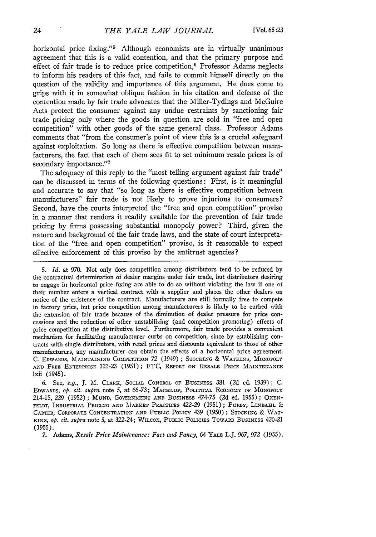horizontal price fixing."<sup>5</sup> Although economists are in virtually unanimous agreement that this is a valid contention, and that the primary purpose and effect of fair trade is to reduce price competition,<sup>6</sup> Professor Adams neglects to inform his readers of this fact, and fails to commit himself directly on the question of the validity and importance of this argument. He does come to grips with it in somewhat oblique fashion in his citation and defense of the contention made by fair trade advocates that the Miller-Tydings and McGuire Acts protect the consumer against any undue restraints by sanctioning fair trade pricing only where the goods in question are sold in "free and open competition" with other goods of the same general class. Professor Adams comments that "from the consumer's point of view this is a crucial safeguard against exploitation. So long as there is effective competition between manufacturers, the fact that each of them sees fit to set minimum resale prices is of secondary importance."7

The adequacy of this reply to the "most telling argument against fair trade" can be discussed in terms of the following questions: First, is it meaningful and accurate to say that "so long as there is effective competition between manufacturers" fair trade is not likely to prove injurious to consumers? Second, have the courts interpreted the "free and open competition" proviso in a manner that renders it readily available for the prevention of fair trade pricing by firms possessing substantial monopoly power? Third, given the nature and background of the fair trade laws, and the state of court interpretation of the "free and open competition" proviso, is it reasonable to expect effective enforcement of this proviso by the antitrust agencies?

*5. Id.* at 970. Not only does competition among distributors tend to be reduced by the contractual determination of dealer margins under fair trade, but distributors desiring to engage in horizontal price fixing are able to do so without violating the law if one of their number enters a vertical contract with a supplier and places the other dealers on notice of the existence of the contract. Manufacturers are still formally free to compete in factory price, but price competition among manufacturers is **likely** to be curbed with the extension of fair trade because of the diminution of dealer pressure for price concessions and the reduction of other unstabilizing (and competition promoting) effects of price competition at the distributive level. Furthermore, fair trade provides a convenient mechanism for facilitating manufacturer curbs on competition, since **by** establishing contracts with single distributors, with retail prices and discounts equivalent to those of other manufacturers, any manufacturer can obtain the effects of a horizontal price agreement. C. EDWARDS, MAINTAINING COMPETITION *72* (1949); STOCKING **& WATKINS,** MONOPOLY **AND** FREE ENTERPRISE 322-23 (1951); FTC, REPORT ON RESALE **PRICE MAINTENANcE** lxii (1945).

6. See, e.g., **J.** M. CLARK, **SOCIAL** CONTROL OF BUSINESS **381** (2d ed. 1939); C. EDWARDS, *op. cit. supra* note 5, at 66-73; **MACHLUP,** POLITICAL **ECONOMY** OF **MONOPOLY** 214-15, 229 (1952) ; **MuND, GOVERNMENT AND** BUSINESS 474-75 (2d ed. 1955); OXEN-FELDT, INDUSTRIAL PRICING **AND** MARKET PRACTICES 422-29 (1951); **PURDY,** LINDAHL & CARTER, CORPORATE CONCENTRATION **AND** PUBLIC POLICY 439 (1950); **STOCKING** & WAT-*KINS, op. cit. supra* note 5, at 322-24; WILCOX, **PUBLIC** POLICIES TOWARD BUSINESS 420-21 (1955).

7. Adams, *Resale Price Maintenance: Fact and Fancy,* 64 YALE L.J. 967, *972* (1955).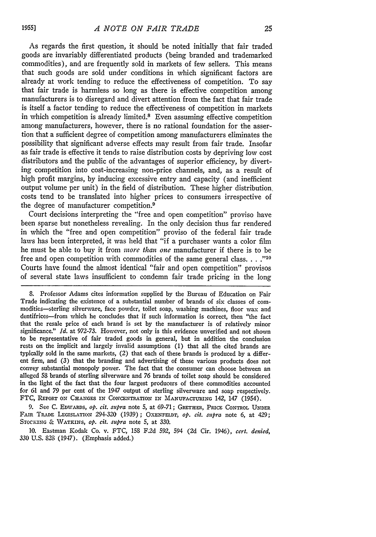As regards the first question, it should be noted initially that fair traded goods are invariably differentiated products (being branded and trademarked commodities), and are frequently sold in markets of few sellers. This means that such goods are sold under conditions in which significant factors are already at work tending to reduce the effectiveness of competition. To say that fair trade is harmless so long as there is effective competition among manufacturers is to disregard and divert attention from the fact that fair trade is itself a factor tending to reduce the effectiveness of competition in markets in which competition is already limited.8 Even assuming effective competition among manufacturers, however, there is no rational foundation for the assertion that a sufficient degree of competition among manufacturers eliminates the possibility that significant adverse effects may result from fair trade. Insofar as fair trade is effective it tends to raise distribution costs **by** depriving low cost distributors and the public of the advantages of superior efficiency, **by** diverting competition into cost-increasing non-price channels, and, as a result of high profit margins, **by** inducing excessive entry and capacity (and inefficient output volume per unit) in the field of distribution. These higher distribution, costs tend to be translated into higher prices to consumers irrespective of the degree of manufacturer competition.<sup>9</sup>

Court decisions interpreting the "free and open competition" proviso have been sparse but nonetheless revealing. In the only decision thus far rendered in which the "free and open competition" proviso of the federal fair trade laws has been interpreted, it was held that "if a purchaser wants a color film he must be able to buy it from *more than one* manufacturer if there is to be free and open competition with commodities of the same general class. . . .<sup>"10</sup> Courts have found the almost identical "fair and open competition" provisos of several state laws insufficient to condemn fair trade pricing in the long

**8.** Professor Adams cites information supplied by the Bureau of Education on Fair Trade indicating the existence of a substantial number of brands of six classes of commodities-sterling silverware, face powder, toilet soap, washing machines, floor wax and dentifrices--from which he concludes that if such information is correct, then "the fact that the resale price of each brand is set by the manufacturer is of relatively minor significance." *Id.* at 972-73. However, not only is this evidence unverified and not shown to be representative of fair traded goods in general, but in addition the conclusion rests on the implicit and largely invalid assumptions (1) that all the cited brands are typically sold in the same markets, (2) that each of these brands **is** produced by a different firm, and **(3)** that the branding and advertising of these various products does not convey substantial monopoly power. The fact that the consumer can choose between an alleged 58 brands of sterling silverware and 76 brands of toilet soap should be considered in the light of the fact that the four largest producers of these commodities accounted for 61 and 79 per cent of the 1947 output of sterling silverware and soap respectively. FTC, REPORT ON **CHANGES IN** CONCENTRATION **IN MANUFACTURING** 142, 147 (1954).

9. See C. EDWARDS, **Op.** *cit. supra* note 5, at 69-71; **GRETHR, PRICE** CONTROL **UNDER** FAIR TRADE **LEGISLATION** 294-320 (1939); **OXENFELDT,** *op. cit. supra* note 6, at 429; *STOCKING* & **WATKINS,** *op. cit. supra* note **5,** at 330.

10. Eastman Kodak Co. v. FTC, 158 F.2d 592, 594 (2d Cir. 1946), *cert. denied,* 330 U.S. 828 (1947). (Emphasis added.)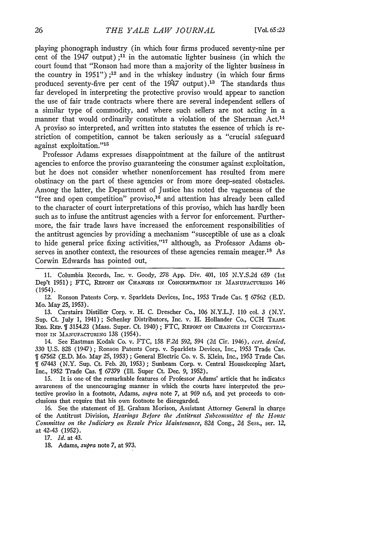playing phonograph industry (in which four firms produced seventy-nine per cent of the 1947 output) **;11** in the automatic lighter business (in which the court found that "Ronson had more than a majority of the lighter business in the country in 1951") **;1'2** and in the whiskey industry (in which four firms produced seventy-five per cent of the  $1947$  output).<sup>13</sup> The standards thus far developed in interpreting the protective proviso would appear to sanction the use of fair trade contracts where there are several independent sellers of a similar type of commodity, and where such sellers are not acting in a manner that would ordinarily constitute a violation of the Sherman Act.<sup>14</sup> A proviso so interpreted, and written into statutes the essence of which is restriction of competition, cannot be taken seriously as a "crucial safeguard against exploitation."'<sup>15</sup>

Professor Adams expresses disappointment at the failure of the antitrust agencies to enforce the proviso guaranteeing the consumer against exploitation, but he does not consider whether nonenforcement has resulted from mere obstinacy on the part of these agencies or from more deep-seated obstacles. Among the latter, the Department of Justice has noted the vagueness of the "free and open competition" proviso,<sup>16</sup> and attention has already been called to the character of court interpretations of this proviso, which has hardly been such as to infuse the antitrust agencies with a fervor for enforcement. Furthermore, the fair trade laws have increased the enforcement responsibilities of the antitrust agencies by providing a mechanism "susceptible of use as a cloak to hide general price fixing activities,"'17 although, as Professor Adams observes in another context, the resources of these agencies remain meager.<sup>18</sup> As Corwin Edwards has pointed out,

11. Columbia Records, Inc. v. Goody, *278* App. Div. 401, 105 N.Y.S.2d 659 (1st Dep't 1951); FTC, REPORT ON CHANGES IN CONCENTRATION IN MANUFACTURING 146 (1954).

12. Ronson Patents Corp. v. Sparklets Devices, Inc., 1953 Trade Cas. **ff** *67562* (E.D. Mo. May 25, 1953).

13. Carstairs Distiller Corp. v. H. C. Drescher Co., 106 N.Y.L.J. 110 col. 3 (N.Y. Sup. Ct. July 1, 1941); Schenley Distributors, Inc. v. H. Hollander Co., CCH **TRADE** REG. REP. **[ 3154.23** (Mass. Super. Ct. 1940); FTC, REPORT ON CHANGES IN CONCENTRA-TION IN **MANUFACTURING** 138 (1954).

14. See Eastman Kodak Co. v. FTC, 158 F.2d 592, 594 (2d Cir. 1946), *cert. denied,* 330 U.S. 828 (1947) ; Ronson Patents Corp. v. Sparklets Devices, Inc., 1953 Trade Cas. 67562 (E.D. Mo. May 25, 1953) ; General Electric Co. v. S. Klein, Inc., 1953 Trade Cas. 1 67443 (N.Y. Sup. Ct. Feb. 20, 1953) ; Sunbeam Corp. v. Central Housekeeping Mart, Inc., 1952 Trade Cas. **ff** 67379 (Ill. Super Ct. Dec. 9, 1952).

15. It is one of the remarkable features of Professor Adams' article that he indicates awareness of the unencouraging manner in which the courts have interpreted the protective proviso in a footnote, Adams, *supra* note 7, at 969 n.6, and yet proceeds to conclusions that require that his own footnote be disregarded.

16. See the statement of H. Graham Morison, Assistant Attorney General in charge of the Antitrust Division, *Hearings Before the Antitrust Subcommittee of the House* Committee on the *Judiciary on* Resale *Price* Maintenance, 82d Cong., 2d Sess., ser. 12, at 42-43 (1952).

17. Id. at 43.

18. Adams, *supra* note 7, at 973.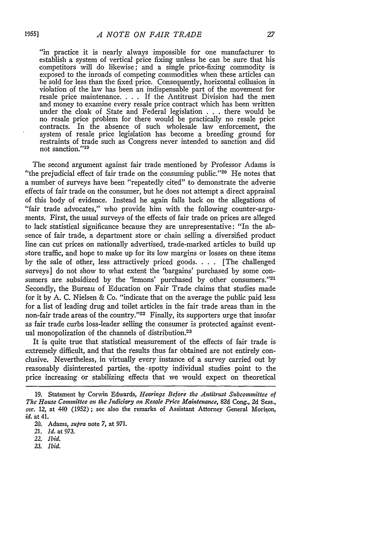"in practice it is nearly always impossible for one manufacturer to establish a system of vertical price fixing unless he can be sure that his competitors will do likewise; and a single price-fixing commodity is exposed to the inroads of competing commodities when these articles can be sold for less than the fixed price. Consequently, horizontal collusion in violation of the law has been an indispensable part of the movement for resale price maintenance. . **.** . If the Antitrust Division had the men and money to examine every resale price contract which has been written under the cloak of State and Federal legislation . . **.** there would be no resale price problem for there would be practically no resale price contracts. In the absence of such wholesale law enforcement, the system of resale price legislation has become a breeding ground for restraints of trade such as Congress never intended to sanction and did not sanction."<sup>19</sup>

The second argument against fair trade mentioned by Professor Adams is "the prejudicial effect of fair trade on the consuming public." $20$  He notes that a number of surveys have been "repeatedly cited" to demonstrate the adverse effects of fair trade on the consumer, but he does not attempt a direct appraisal of this body of evidence. Instead he again falls back on the allegations of "fair trade advocates," who provide him with the following counter-arguments. First, the usual surveys of the effects of fair trade on prices are alleged to lack statistical significance because they are unrepresentative: "In the absence of fair trade, a department store or chain selling a diversified product line can cut prices on nationally advertised, trade-marked articles to build up store traffic, and hope to make up for its low margins or losses on these items by the sale of other, less attractively priced goods. . **.** . [The challenged surveys] do not show to what extent the 'bargains' purchased by some consumers are subsidized by the 'lemons' purchased by other consumers."<sup>21</sup> Secondly, the Bureau of Education on Fair Trade claims that studies made for it by A. C. Nielsen & Co. "indicate that on the average the public paid less for a list of leading drug and toilet articles in the fair trade areas than in the non-fair trade areas of the country. '22 Finally, its supporters urge that insofar as fair trade curbs loss-leader selling the consumer is protected against eventual monopolization of the channels of distribution.23

It is quite true that statistical measurement of the effects of fair trade is extremely difficult, and that the results thus far obtained are not entirely conclusive. Nevertheless, in virtually every instance of a survey carried out by reasonably disinterested parties, the -spotty individual studies point to the price increasing or stabilizing effects that we would expect on theoretical

*23. Ibid.*

**<sup>19.</sup>** Statement by Corwin Edwards, *Hearings Before the Antitrust Subcommittee of The House Comcnnittee on the Judiciary on Resale Price Maintenance,* 82d Cong., 2d Sess., ser. 12, at 440 (1952); see also the remarks of Assistant Attorney General Morison, *id.* at 41.

<sup>20.</sup> Adams, *supra* note 7, at 971.

<sup>21.</sup> *Id.* at 973.

*<sup>22.</sup> Ibid.*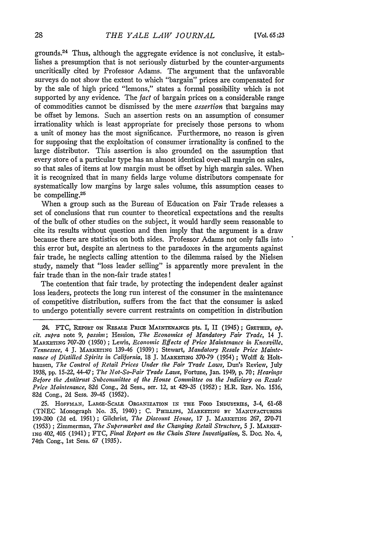grounds.<sup>24</sup> Thus, although the aggregate evidence is not conclusive, it establishes a presumption that is not seriously disturbed by the counter-arguments uncritically cited by Professor Adams. The argument that the unfavorable surveys do not show the extent to which "bargain" prices are compensated for by the sale of high priced "lemons," states a formal possibility which is not supported by any evidence. The fact of bargain prices on a considerable range of commodities cannot be dismissed by the mere *assertion* that bargains may be offset by lemons. Such an assertion rests on an assumption of consumer irrationality which is least appropriate for precisely those persons to whom a unit of money has the most significance. Furthermore, no reason is given for supposing that the exploitation of consumer irrationality is confined to the large distributor. This assertion is also grounded on the assumption that every store of a particular type has an almost identical over-all margin on sales, so that sales of items at low margin must be offset by high margin sales. When it is recognized that in many fields large volume distributors compensate for systematically low margins by large sales volume, this assumption ceases to be compelling.<sup>25</sup>

When a group such as the Bureau of Education on Fair Trade releases a set of conclusions that run counter to theoretical expectations and the results of the bulk of other studies on the subject, it would hardly seem reasonable to cite its results without question and then imply that the argument is a draw because there are statistics on both sides. Professor Adams not only falls into this error but, despite an alertness to the paradoxes in the arguments against fair trade, he neglects calling attention to the dilemma raised by the Nielsen study, namely that "loss leader selling" is apparently more prevalent in the fair trade than in the non-fair trade states!

The contention that fair trade, by protecting the independent dealer against loss leaders, protects the long run interest of the consumer in the maintenance of competitive distribution, suffers from the fact that the consumer is asked to undergo potentially severe current restraints on competition in distribution

25. **HOFFIMAN,** LARGE-SCALE **ORGANIZATION** IN THE **FOOD** INDUSTRIEs, 3-4, 61-68 (TNEC Monograph No. 35, 1940); C. **PHI.LIPS,** *MARKETING* **BY MANUFACTURERS** 199-200 (2d ed. 1951); Gilchrist, *The Discount House, 17* J. **MARKETING** 267, 270-71 (1953) ; Zimmerman, *The Supermarket and the Changing Retail Structure, 5* J. MARKET-**ING** 402, 405 (1941) **;** FTC, *Final Report on the Chain Store Investigation,* S. Doc. No. 4, 74th Cong., 1st Sess. 67 (1935).

<sup>24.</sup> FTC, **REPORT** ON RESALE **PRICE MAINTENANCE** pts. I, II (1945); **GRETHER,** *op. cit. supra* note **9,** *passim;* Hession, *The Economics of Mandatory Fair Trade,* 14 **J. MARKETING** 707-20 (1950) ; **Lewis,** *Economic Effects of Price Maintenance in Knoxville, Tennessee, 4* J. MARKETING 139-46 (1939); Stewart, *Mandatory Resale Price Maintenance of Distilled Spirits in California*, 18 J. MARKETING 370-79 (1954); Wolff & Holthausen, *The Control of Retail Prices Under the Fair Trade Laws,* Dun's Review, July 1938, pp. 15-22, 44-47; *The Not-So-Fair Trade Laws*, Fortune, Jan. 1949; p. 70; *Hearings Before the Antitrust Subcommittee of the House Committee on the Judiciary on Resale Price Maintenance,* 82d Cong., 2d Sess., ser. 12, at 429-35 (1952) ; H.R. REP. No. 1516, 82d Cong., 2d Sess. 39-45 (1952).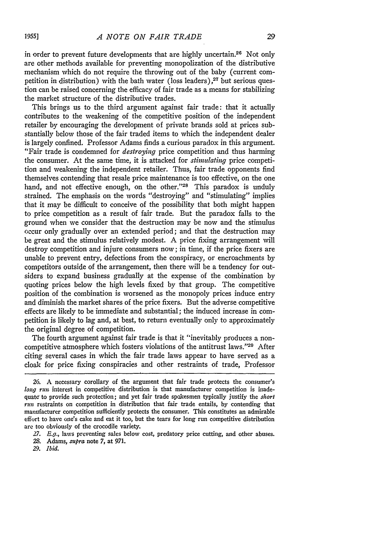in order to prevent future developments that are highly uncertain.<sup>26</sup> Not only are other methods available for preventing monopolization of the distributive mechanism which do not require the throwing out of the baby (current competition in distribution) with the bath water (loss leaders) *,27* but serious question can be raised concerning the efficacy of fair trade as a means for stabilizing the market structure of the distributive trades.

This brings us to the third argument against fair trade: that it actually contributes to the weakening of the competitive position of the independent retailer by encouraging the development of private brands sold at prices substantially below those of the fair traded items to which the independent dealer is largely confined. Professor Adams finds a curious paradox in this argument. "Fair trade is condemned for *destroying* price competition and thus harming the consumer. At the same time, it is attacked for *stimulating* price competition and weakening the independent retailer. Thus, fair trade opponents find themselves contending that resale price maintenance is too effective, on the one hand, and not effective enough, on the other."<sup>28</sup> This paradox is unduly strained. The emphasis on the words "destroying" and "stimulating" implies that it may be difficult to conceive of the possibility that both might happen to price competition as a result of fair trade. But the paradox falls to the ground when we consider that the destruction may be now and the stimulus occur only gradually over an extended period; and that the destruction may be great and the stimulus relatively modest. A price fixing arrangement will destroy competition and injure consumers now; in time, if the price fixers are unable to prevent entry, defections from the conspiracy, or encroachments by competitors outside of the arrangement, then there will be a tendency for outsiders to expand business gradually at the expense of the combination by quoting prices below the high levels fixed by that group. The competitive position of the combination is worsened as the monopoly prices induce entry and diminish the market shares of the price fixers. But the adverse competitive effects are likely to be immediate and substantial; the induced increase in competition is likely to lag and, at best, to return eventually only to approximately the original degree of competition.

The fourth argument against fair trade is that it "inevitably produces a noncompetitive atmosphere which fosters violations of the antitrust laws."29 After citing several cases in which the fair trade laws appear to have served as a cloak for price fixing conspiracies and other restraints of trade, Professor

*29. Ibid.*

<sup>26.</sup> A necessary corollary of the argument that fair trade protects the consumer's *long rum* interest in competitive distribution is that manufacturer competition is inadequate to provide such protection; and yet fair trade spokesmen typically justify the *short run* restraints on competition in distribution that fair trade entails, by contending that manufacturer competition sufficiently protects the consumer. This constitutes an admirable effort to have one's cake and eat it too, but the tears for long run competitive distribution are too obviously of the crocodile variety.

*<sup>27.</sup> E.g.,* laws preventing sales below cost, predatory price cutting, and other abuses.

*<sup>28.</sup>* Adams, *.supra* note 7, at **971.**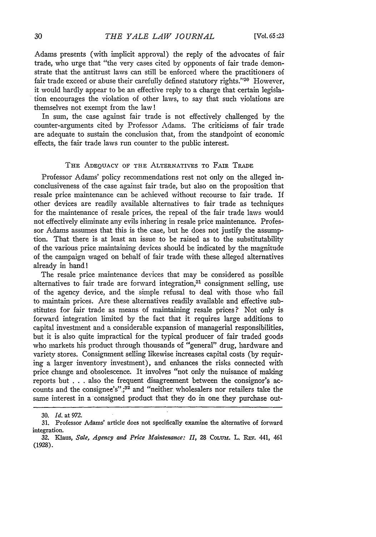Adams presents (with implicit approval) the reply of the advocates of fair trade, who urge that "the very cases cited by opponents of fair trade demonstrate that the antitrust laws can still be enforced where the practitioners of fair trade exceed or abuse their carefully defined statutory rights."<sup>30</sup> However, it would hardly appear to be an effective reply to a charge that certain legislation encourages the violation of other laws, to say that such violations are themselves not exempt from the law!

In sum, the case against fair trade is not effectively challenged by the counter-arguments cited by Professor Adams. The criticisms of fair trade are adequate to sustain the conclusion that, from the standpoint of economic effects, the fair trade laws run counter to the public interest.

## THE **ADEQUACY** OF **THE ALTERNATIVES** TO FAIR TRADE

Professor Adams' policy recommendations rest not only on the alleged inconclusiveness of the case against fair trade, but also on the proposition that resale price maintenance can be achieved without recourse to fair trade. If other devices are readily available alternatives to fair trade as techniques for the maintenance of resale prices, the repeal of the fair trade laws would not effectively eliminate any evils inhering in resale price maintenance. Professor Adams assumes that this is the case, but he does not justify the assumption. That there is at least an issue to be raised as to the substitutability of the various price maintaining devices should be indicated by the magnitude of the campaign waged on behalf of fair trade with these alleged alternatives already in hand!

The resale price maintenance devices that may be considered as possible alternatives to fair trade are forward integration,<sup>31</sup> consignment selling, use of the agency device, and the simple refusal to deal with those who fail to maintain prices. Are these alternatives readily available and effective substitutes for fair trade as means of maintaining resale prices? Not only is forward integration limited by the fact that it requires large additions to capital investment and a considerable expansion of managerial responsibilities, but it is also quite impractical for the typical producer of fair traded goods who markets his product through thousands of "general" drug, hardware and variety stores. Consignment selling likewise increases capital costs (by requiring a larger inventory investment), and enhances the risks connected with price change and obsolescence. It involves "not only the nuisance of making reports but . . . also the frequent disagreement between the consignor's accounts and the consignee's".;32 and "neither wholesalers nor retailers take the same interest in a consigned product that they do in one they purchase out-

<sup>30.</sup> *Id.* at 972.

**<sup>31.</sup>** Professor Adams' article does not specifically examine the alternative of forward integration.

**<sup>32.</sup>** Klaus, *Sale, Agency and Price Maintenance: II,* 28 **COLUmh.** L. REv. 441, 461 (1928).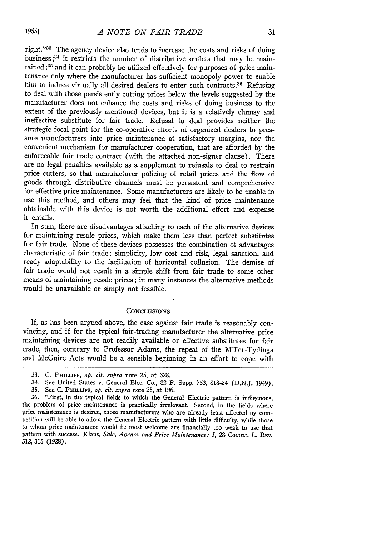right."<sup>33</sup> The agency device also tends to increase the costs and risks of doing business;<sup>34</sup> it restricts the number of distributive outlets that may be maintained;<sup>35</sup> and it can probably be utilized effectively for purposes of price maintenance only where the manufacturer has sufficient monopoly power to enable him to induce virtually all desired dealers to enter such contracts.<sup>36</sup> Refusing to deal with those persistently cutting prices below the levels suggested by the manufacturer does not enhance the costs and risks of doing business to the extent of the previously mentioned devices, but it is a relatively clumsy and ineffective substitute for fair trade. Refusal to deal provides neither the strategic focal point for the co-operative efforts of organized dealers to pressure manufacturers into price maintenance at satisfactory margins, nor the convenient mechanism for manufacturer cooperation, that are afforded by the enforceable fair trade contract (with the attached non-signer clause). There are no legal penalties available as a supplement to refusals to deal to restrain price cutters, so that manufacturer policing of retail prices and the flow of goods through distributive channels must be persistent and comprehensive for effective price maintenance. Some manufacturers are likely to be unable to use this method, and others may feel that the kind of price maintenance obtainable with this device is not worth the additional effort and expense it entails.

In sum, there are disadvantages attaching to each of the alternative devices for maintaining resale prices, which make them less than perfect substitutes for fair trade. None of these devices possesses the combination of advantages characteristic of fair trade: simplicity, low cost and risk, legal sanction, and ready adaptability to the facilitation of horizontal collusion. The demise of fair trade would not result in a simple shift from fair trade to some other means of maintaining resale prices; in many instances the alternative methods would be unavailable or simply not feasible.

## **CONCLUSIONS**

If, as has been argued above, the case against fair trade is reasonably convincing, and if for the typical fair-trading manufacturer the alternative price maintaining devices are not readily available or effective substitutes for fair trade, then, contrary to Professor Adans, the repeal of the Miller-Tydings and McGuire Acts would be a sensible beginning in an effort to cope with

**1955]**

<sup>33.</sup> C. PHILLIPS, *op.* cit. *supra* note 25, at **328.**

<sup>34.</sup> See United States v. General Elec. Co., 82 F. Supp. 753, 818-24 (D.N.J. 1949).

<sup>35.</sup> See C. PHLUPS, *op. cit. supra* note 25, at 186.

<sup>36. &</sup>quot;First, in the typical fields to which the General Electric pattern is indigenous, the problem of price maintenance is practically irrelevant. Second, in the fields where price maintenance is desired, those manufacturers who are already least affected by competition will be able to adopt the General Electric pattern with little difficulty, while those to whom price maintenance would be most welcome are financially too weak to use that pattern with success. Klaus, Sale, Agency and Price Maintenance: *1*, 28 COLUM. L. REV. *312,* **315** (1928).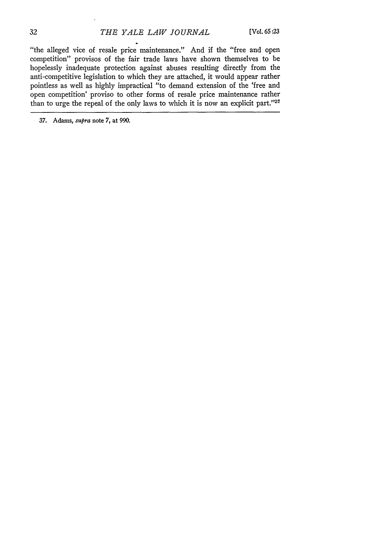"the alleged vice of resale price maintenance." And if the "free and open competition" provisos of the fair trade laws have shown themselves to be hopelessly inadequate protection against abuses resulting directly from the anti-competitive legislation to which they are attached, it would appear rather pointless as well as highly impractical "to demand extension of the 'free and open competition' proviso to other forms of resale price maintenance rather than to urge the repeal of the only laws to which it is now an explicit part."<sup>37</sup>

37. Adams, supra note 7, at 990.